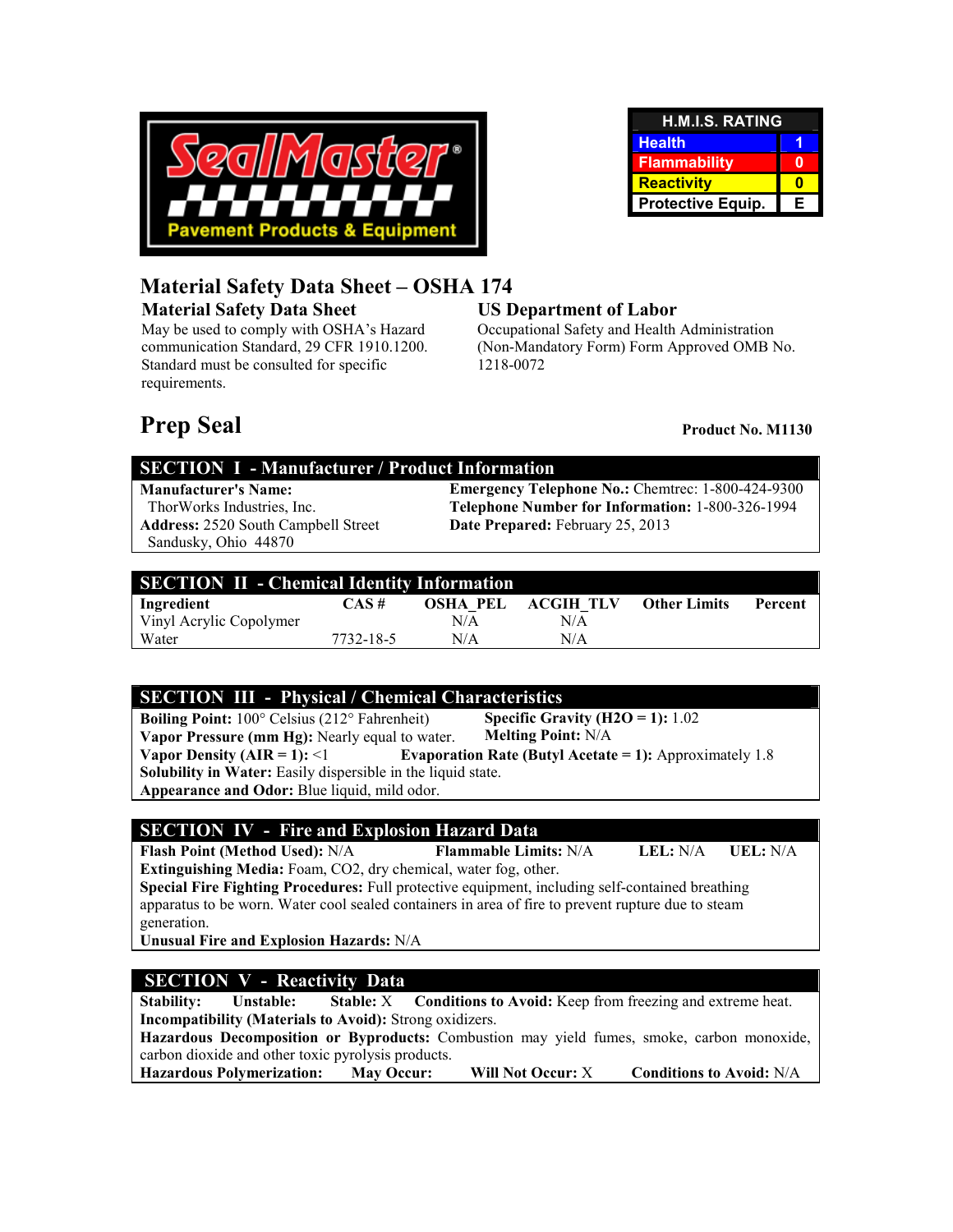

| <b>H.M.I.S. RATING</b>   |   |  |
|--------------------------|---|--|
| <b>Health</b>            |   |  |
| <b>Flammability</b>      |   |  |
| <b>Reactivity</b>        |   |  |
| <b>Protective Equip.</b> | Е |  |

## **Material Safety Data Sheet – OSHA 174**

#### **Material Safety Data Sheet**

May be used to comply with OSHA's Hazard communication Standard, 29 CFR 1910.1200. Standard must be consulted for specific requirements.

#### **US Department of Labor**

Occupational Safety and Health Administration (Non-Mandatory Form) Form Approved OMB No. 1218-0072

# **Prep Seal Product No. M1130**

#### **SECTION I - Manufacturer / Product Information**

**Address:** 2520 South Campbell Street Sandusky, Ohio 44870

**Manufacturer's Name:** Emergency Telephone No.: Chemtrec: 1-800-424-9300<br>ThorWorks Industries, Inc. **Elephone Number for Information:** 1-800-326-1994 Telephone Number for Information: 1-800-326-1994 **Date Prepared:** February 25, 2013

| <b>SECTION II - Chemical Identity Information</b> |           |          |           |                     |         |  |
|---------------------------------------------------|-----------|----------|-----------|---------------------|---------|--|
| Ingredient                                        | CAS#      | OSHA PEL | ACGIH TLV | <b>Other Limits</b> | Percent |  |
| Vinyl Acrylic Copolymer                           |           | N/A      | N/A       |                     |         |  |
| Water                                             | 7732-18-5 | N/A      | N/A       |                     |         |  |

### **SECTION III - Physical / Chemical Characteristics**

**Boiling Point:** 100° Celsius (212° Fahrenheit) **Vapor Pressure (mm Hg):** Nearly equal to water. **Specific Gravity (H2O = 1):** 1.02 **Melting Point:** N/A **Vapor Density (AIR = 1):** <1 **Evaporation Rate (Butyl Acetate = 1):** Approximately 1.8 **Solubility in Water:** Easily dispersible in the liquid state. **Appearance and Odor:** Blue liquid, mild odor.

### **SECTION IV - Fire and Explosion Hazard Data**

**Flash Point (Method Used):** N/A **Flammable Limits:** N/A **LEL:** N/A **UEL:** N/A **Extinguishing Media:** Foam, CO2, dry chemical, water fog, other.

**Special Fire Fighting Procedures:** Full protective equipment, including self-contained breathing apparatus to be worn. Water cool sealed containers in area of fire to prevent rupture due to steam generation.

**Unusual Fire and Explosion Hazards:** N/A

### **SECTION V - Reactivity Data**

**Stability:** Unstable: Stable: X Conditions to Avoid: Keep from freezing and extreme heat. **Incompatibility (Materials to Avoid):** Strong oxidizers. **Hazardous Decomposition or Byproducts:** Combustion may yield fumes, smoke, carbon monoxide, carbon dioxide and other toxic pyrolysis products. **Hazardous Polymerization: May Occur: Will Not Occur:** X **Conditions to Avoid:** N/A